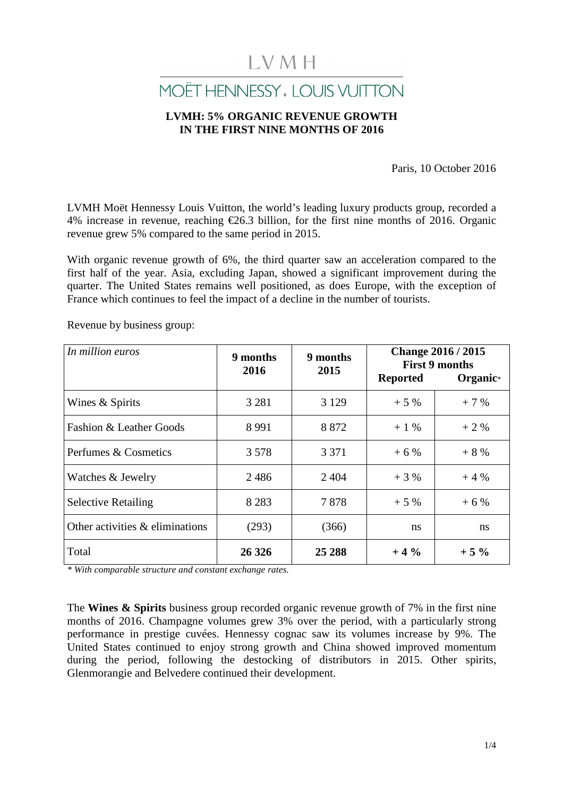# LVMH

## MOËT HENNESSY, LOUIS VUITTON

## **LVMH: 5% ORGANIC REVENUE GROWTH IN THE FIRST NINE MONTHS OF 2016**

Paris, 10 October 2016

LVMH Moët Hennessy Louis Vuitton, the world's leading luxury products group, recorded a 4% increase in revenue, reaching  $\epsilon$ 26.3 billion, for the first nine months of 2016. Organic revenue grew 5% compared to the same period in 2015.

With organic revenue growth of 6%, the third quarter saw an acceleration compared to the first half of the year. Asia, excluding Japan, showed a significant improvement during the quarter. The United States remains well positioned, as does Europe, with the exception of France which continues to feel the impact of a decline in the number of tourists.

Revenue by business group:

| In million euros                | 9 months<br>2016 | 9 months<br>2015 | <b>Change 2016 / 2015</b><br><b>First 9 months</b><br><b>Reported</b><br>Organic <sup>*</sup> |        |  |
|---------------------------------|------------------|------------------|-----------------------------------------------------------------------------------------------|--------|--|
| Wines & Spirits                 | 3 2 8 1          | 3 1 2 9          | $+5%$                                                                                         | $+7%$  |  |
| Fashion & Leather Goods         | 8 9 9 1          | 8 8 7 2          | $+1\%$                                                                                        | $+2%$  |  |
| Perfumes & Cosmetics            | 3578             | 3 3 7 1          | $+6%$                                                                                         | $+8%$  |  |
| Watches & Jewelry               | 2486             | 2 4 0 4          | $+3%$                                                                                         | $+4%$  |  |
| <b>Selective Retailing</b>      | 8 2 8 3          | 7878             | $+5%$                                                                                         | $+6%$  |  |
| Other activities & eliminations | (293)            | (366)            | <sub>ns</sub>                                                                                 | ns     |  |
| Total                           | 26 3 26          | 25 288           | $+4%$                                                                                         | $+5\%$ |  |

*\* With comparable structure and constant exchange rates.* 

The **Wines & Spirits** business group recorded organic revenue growth of 7% in the first nine months of 2016. Champagne volumes grew 3% over the period, with a particularly strong performance in prestige cuvées. Hennessy cognac saw its volumes increase by 9%. The United States continued to enjoy strong growth and China showed improved momentum during the period, following the destocking of distributors in 2015. Other spirits, Glenmorangie and Belvedere continued their development.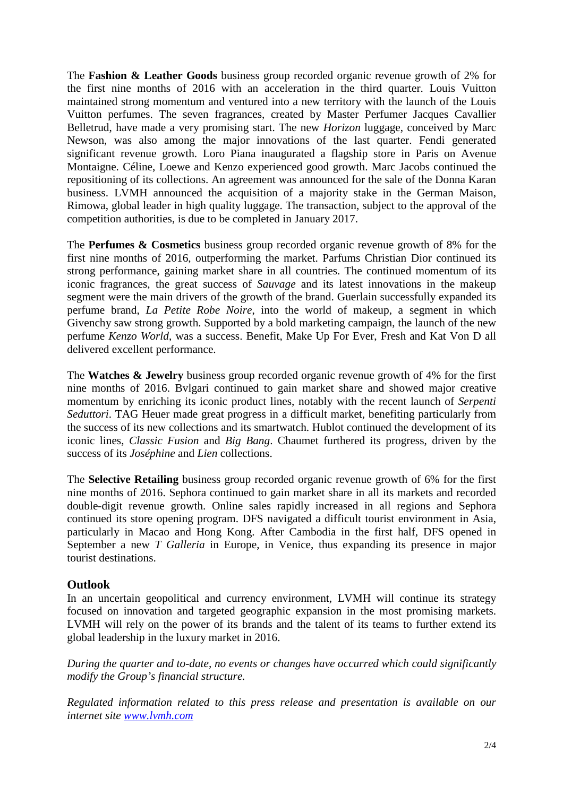The **Fashion & Leather Goods** business group recorded organic revenue growth of 2% for the first nine months of 2016 with an acceleration in the third quarter. Louis Vuitton maintained strong momentum and ventured into a new territory with the launch of the Louis Vuitton perfumes. The seven fragrances, created by Master Perfumer Jacques Cavallier Belletrud, have made a very promising start. The new *Horizon* luggage, conceived by Marc Newson, was also among the major innovations of the last quarter. Fendi generated significant revenue growth. Loro Piana inaugurated a flagship store in Paris on Avenue Montaigne. Céline, Loewe and Kenzo experienced good growth. Marc Jacobs continued the repositioning of its collections. An agreement was announced for the sale of the Donna Karan business. LVMH announced the acquisition of a majority stake in the German Maison, Rimowa, global leader in high quality luggage. The transaction, subject to the approval of the competition authorities, is due to be completed in January 2017.

The **Perfumes & Cosmetics** business group recorded organic revenue growth of 8% for the first nine months of 2016, outperforming the market. Parfums Christian Dior continued its strong performance, gaining market share in all countries. The continued momentum of its iconic fragrances, the great success of *Sauvage* and its latest innovations in the makeup segment were the main drivers of the growth of the brand. Guerlain successfully expanded its perfume brand, *La Petite Robe Noire*, into the world of makeup, a segment in which Givenchy saw strong growth. Supported by a bold marketing campaign, the launch of the new perfume *Kenzo World*, was a success. Benefit, Make Up For Ever, Fresh and Kat Von D all delivered excellent performance.

The **Watches & Jewelry** business group recorded organic revenue growth of 4% for the first nine months of 2016. Bvlgari continued to gain market share and showed major creative momentum by enriching its iconic product lines, notably with the recent launch of *Serpenti Seduttori*. TAG Heuer made great progress in a difficult market, benefiting particularly from the success of its new collections and its smartwatch. Hublot continued the development of its iconic lines, *Classic Fusion* and *Big Bang*. Chaumet furthered its progress, driven by the success of its *Joséphine* and *Lien* collections.

The **Selective Retailing** business group recorded organic revenue growth of 6% for the first nine months of 2016. Sephora continued to gain market share in all its markets and recorded double-digit revenue growth. Online sales rapidly increased in all regions and Sephora continued its store opening program. DFS navigated a difficult tourist environment in Asia, particularly in Macao and Hong Kong. After Cambodia in the first half, DFS opened in September a new *T Galleria* in Europe, in Venice, thus expanding its presence in major tourist destinations.

## **Outlook**

In an uncertain geopolitical and currency environment, LVMH will continue its strategy focused on innovation and targeted geographic expansion in the most promising markets. LVMH will rely on the power of its brands and the talent of its teams to further extend its global leadership in the luxury market in 2016.

*During the quarter and to-date, no events or changes have occurred which could significantly modify the Group's financial structure.* 

*Regulated information related to this press release and presentation is available on our internet site www.lvmh.com*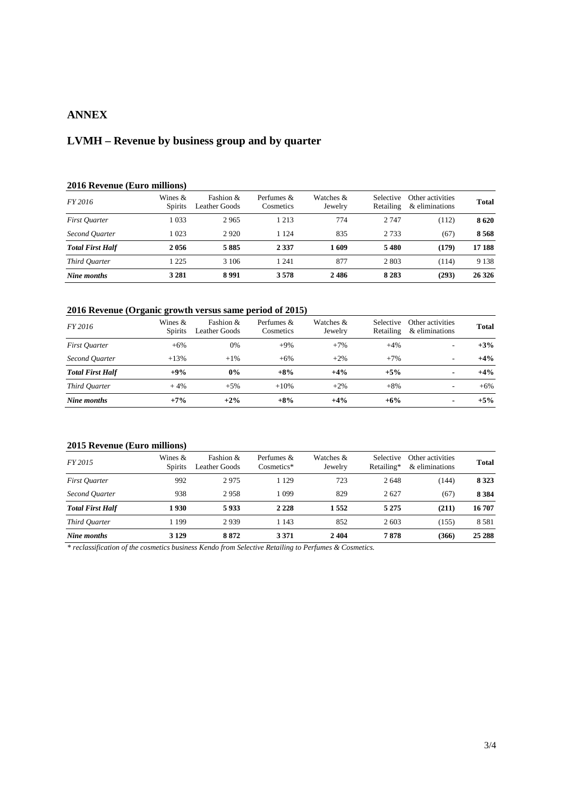### **ANNEX**

## **LVMH – Revenue by business group and by quarter**

### **2016 Revenue (Euro millions)**

| FY 2016                 | Wines $\&$<br><b>Spirits</b> | Fashion $&$<br><b>Leather Goods</b> | Perfumes $\&$<br>Cosmetics | Watches &<br>Jewelry | <b>Selective</b><br>Retailing | Other activities<br>& eliminations | Total   |
|-------------------------|------------------------------|-------------------------------------|----------------------------|----------------------|-------------------------------|------------------------------------|---------|
| <b>First Ouarter</b>    | 1 0 3 3                      | 2965                                | 1 2 1 3                    | 774                  | 2 7 4 7                       | (112)                              | 8620    |
| Second Ouarter          | 1 0 2 3                      | 2920                                | 1 1 2 4                    | 835                  | 2 7 3 3                       | (67)                               | 8568    |
| <b>Total First Half</b> | 2056                         | 5885                                | 2 3 3 7                    | 1609                 | 5480                          | (179)                              | 17 188  |
| Third Ouarter           | 1 2 2 5                      | 3 1 0 6                             | 1 241                      | 877                  | 2 803                         | (114)                              | 9 1 3 8 |
| Nine months             | 3 2 8 1                      | 8991                                | 3578                       | 2486                 | 8 2 8 3                       | (293)                              | 26 3 26 |

### **2016 Revenue (Organic growth versus same period of 2015)**

| FY 2016                 | Wines $\&$<br><b>Spirits</b> | Fashion $\&$<br>Leather Goods | Perfumes $\&$<br>Cosmetics | Watches &<br>Jewelry | <b>Selective</b><br>Retailing | Other activities<br>& eliminations | <b>Total</b> |
|-------------------------|------------------------------|-------------------------------|----------------------------|----------------------|-------------------------------|------------------------------------|--------------|
| <b>First Quarter</b>    | $+6%$                        | 0%                            | $+9%$                      | $+7%$                | $+4%$                         | $\sim$                             | $+3%$        |
| Second Ouarter          | $+13%$                       | $+1\%$                        | $+6\%$                     | $+2%$                | $+7%$                         |                                    | $+4%$        |
| <b>Total First Half</b> | $+9%$                        | $0\%$                         | $+8%$                      | $+4%$                | $+5%$                         | $\blacksquare$                     | $+4%$        |
| Third Ouarter           | $+4%$                        | $+5%$                         | $+10%$                     | $+2%$                | $+8%$                         | $\overline{\phantom{a}}$           | $+6\%$       |
| Nine months             | $+7%$                        | $+2%$                         | $+8%$                      | $+4%$                | $+6\%$                        | $\blacksquare$                     | $+5%$        |

#### **2015 Revenue (Euro millions)**

| <i>FY 2015</i>          | Wines $\&$<br><b>Spirits</b> | Fashion $\&$<br>Leather Goods | Perfumes $\&$<br>$Cosmetics*$ | Watches &<br>Jewelry | <b>Selective</b><br>Retailing* | Other activities<br>& eliminations | <b>Total</b> |
|-------------------------|------------------------------|-------------------------------|-------------------------------|----------------------|--------------------------------|------------------------------------|--------------|
| <b>First Ouarter</b>    | 992                          | 2975                          | 1 1 2 9                       | 723                  | 2648                           | (144)                              | 8 3 2 3      |
| Second Ouarter          | 938                          | 2958                          | 1 0 9 9                       | 829                  | 2627                           | (67)                               | 8 3 8 4      |
| <b>Total First Half</b> | 1930                         | 5933                          | 2 2 2 8                       | 1552                 | 5 2 7 5                        | (211)                              | 16 707       |
| Third Quarter           | 1 199                        | 2939                          | 1 1 4 3                       | 852                  | 2 603                          | (155)                              | 8581         |
| Nine months             | 3 1 2 9                      | 8872                          | 3 3 7 1                       | 2404                 | 7878                           | (366)                              | 25 288       |

*\* reclassification of the cosmetics business Kendo from Selective Retailing to Perfumes & Cosmetics.*